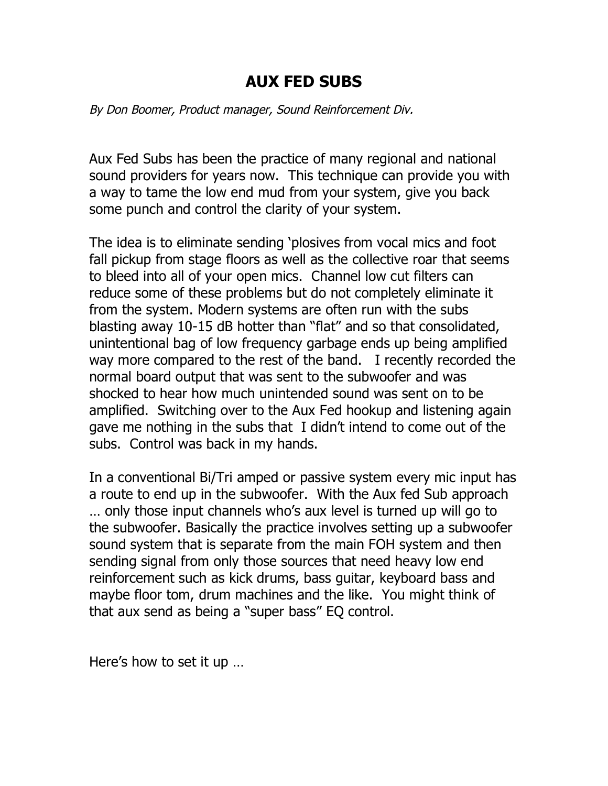## **AUX FED SUBS**

By Don Boomer, Product manager, Sound Reinforcement Div.

Aux Fed Subs has been the practice of many regional and national sound providers for years now. This technique can provide you with a way to tame the low end mud from your system, give you back some punch and control the clarity of your system.

The idea is to eliminate sending 'plosives from vocal mics and foot fall pickup from stage floors as well as the collective roar that seems to bleed into all of your open mics. Channel low cut filters can reduce some of these problems but do not completely eliminate it from the system. Modern systems are often run with the subs blasting away 10-15 dB hotter than "flat" and so that consolidated, unintentional bag of low frequency garbage ends up being amplified way more compared to the rest of the band. I recently recorded the normal board output that was sent to the subwoofer and was shocked to hear how much unintended sound was sent on to be amplified. Switching over to the Aux Fed hookup and listening again gave me nothing in the subs that I didn't intend to come out of the subs. Control was back in my hands.

In a conventional Bi/Tri amped or passive system every mic input has a route to end up in the subwoofer. With the Aux fed Sub approach … only those input channels who's aux level is turned up will go to the subwoofer. Basically the practice involves setting up a subwoofer sound system that is separate from the main FOH system and then sending signal from only those sources that need heavy low end reinforcement such as kick drums, bass guitar, keyboard bass and maybe floor tom, drum machines and the like. You might think of that aux send as being a "super bass" EQ control.

Here's how to set it up …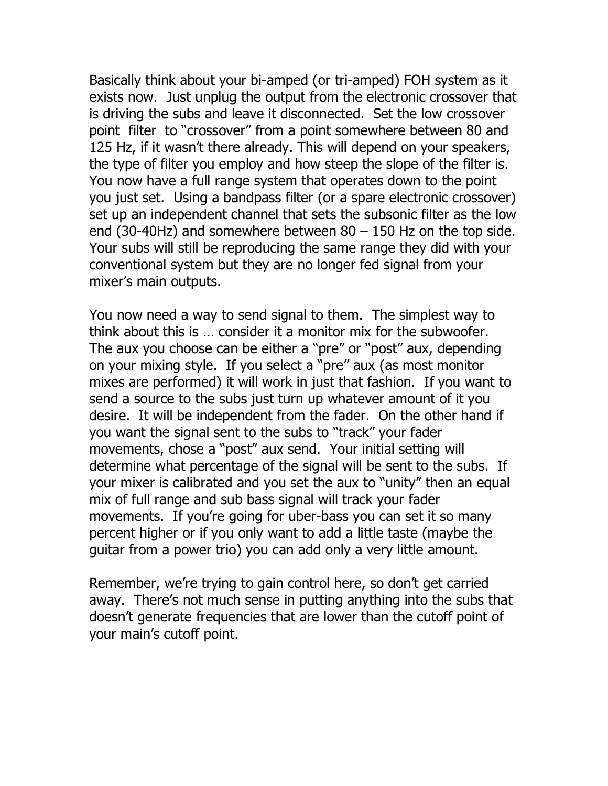Basically think about your bi-amped (or tri-amped) FOH system as it exists now. Just unplug the output from the electronic crossover that is driving the subs and leave it disconnected. Set the low crossover point filter to "crossover" from a point somewhere between 80 and 125 Hz, if it wasn't there already. This will depend on your speakers, the type of filter you employ and how steep the slope of the filter is. You now have a full range system that operates down to the point you just set. Using a bandpass filter (or a spare electronic crossover) set up an independent channel that sets the subsonic filter as the low end (30-40Hz) and somewhere between  $80 - 150$  Hz on the top side. Your subs will still be reproducing the same range they did with your conventional system but they are no longer fed signal from your mixer's main outputs.

You now need a way to send signal to them. The simplest way to think about this is … consider it a monitor mix for the subwoofer. The aux you choose can be either a "pre" or "post" aux, depending on your mixing style. If you select a "pre" aux (as most monitor mixes are performed) it will work in just that fashion. If you want to send a source to the subs just turn up whatever amount of it you desire. It will be independent from the fader. On the other hand if you want the signal sent to the subs to "track" your fader movements, chose a "post" aux send. Your initial setting will determine what percentage of the signal will be sent to the subs. If your mixer is calibrated and you set the aux to "unity" then an equal mix of full range and sub bass signal will track your fader movements. If you're going for uber-bass you can set it so many percent higher or if you only want to add a little taste (maybe the guitar from a power trio) you can add only a very little amount.

Remember, we're trying to gain control here, so don't get carried away. There's not much sense in putting anything into the subs that doesn't generate frequencies that are lower than the cutoff point of your main's cutoff point.